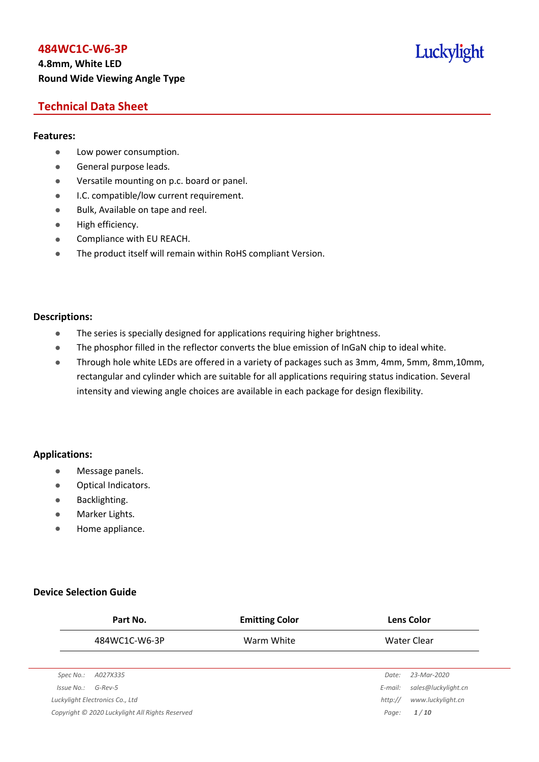## **4.8mm, White LED Round Wide Viewing Angle Type**

## Luckylight

## **Technical Data Sheet**

#### **Features:**

- **•** Low power consumption.
- **General purpose leads.**
- Versatile mounting on p.c. board or panel.
- **I.C. compatible/low current requirement.**
- Bulk, Available on tape and reel.
- $\bullet$  High efficiency.
- **•** Compliance with EU REACH.
- The product itself will remain within RoHS compliant Version.

## **Descriptions:**

- The series is specially designed for applications requiring higher brightness.
- The phosphor filled in the reflector converts the blue emission of InGaN chip to ideal white.
- Through hole white LEDs are offered in a variety of packages such as 3mm, 4mm, 5mm, 8mm,10mm, rectangular and cylinder which are suitable for all applications requiring status indication. Several intensity and viewing angle choices are available in each package for design flexibility.

## **Applications:**

- **•** Message panels.
- Optical Indicators.
- Backlighting.
- Marker Lights.
- Home appliance.

## **Device Selection Guide**

|            | Part No.                                        | <b>Emitting Color</b> |         | <b>Lens Color</b>   |
|------------|-------------------------------------------------|-----------------------|---------|---------------------|
|            | 484WC1C-W6-3P                                   | Warm White            |         | Water Clear         |
|            |                                                 |                       |         |                     |
| Spec No.:  | A027X335                                        |                       | Date:   | 23-Mar-2020         |
| Issue No.: | $G$ -Rev-5                                      |                       | E-mail: | sales@luckylight.cn |
|            | Luckylight Electronics Co., Ltd                 |                       | http:// | www.luckylight.cn   |
|            | Copyright © 2020 Luckylight All Rights Reserved |                       | Page:   | 1/10                |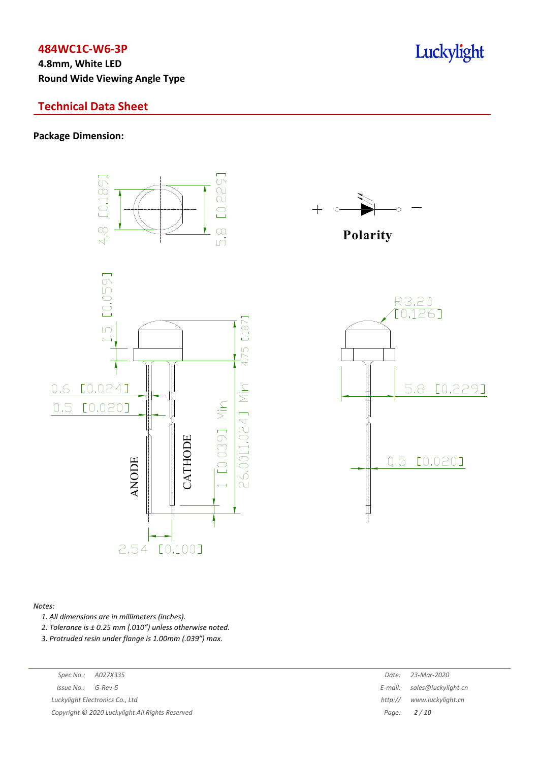**4.8mm, White LED Round Wide Viewing Angle Type**

## **Technical Data Sheet**

**Package Dimension:**





**Polarity**



#### *Notes:*

*1. All dimensions are in millimeters (inches).*

*2. Tolerance is ± 0.25 mm (.010″) unless otherwise noted.*

*3. Protruded resin under flange is 1.00mm (.039″) max.*

| Spec No.: |  | A027X33. |
|-----------|--|----------|
|-----------|--|----------|

*Issue No.: G-Rev-5 Luckylight Electronics Co., Ltd* 

*Copyright © 2020 Luckylight All Rights Reserved Page: 2 / 10*

| Spec No.:  | A027X335                                      | Date:   | 23-Mar-2020                 |
|------------|-----------------------------------------------|---------|-----------------------------|
| 'ssue No.: | G-Rev-5                                       |         | E-mail: sales@luckylight.cn |
|            | ckylight Electronics Co., Ltd                 | http:// | www.luckylight.cn           |
|            | pyright © 2020 Luckylight All Rights Reserved |         | Page: $2/10$                |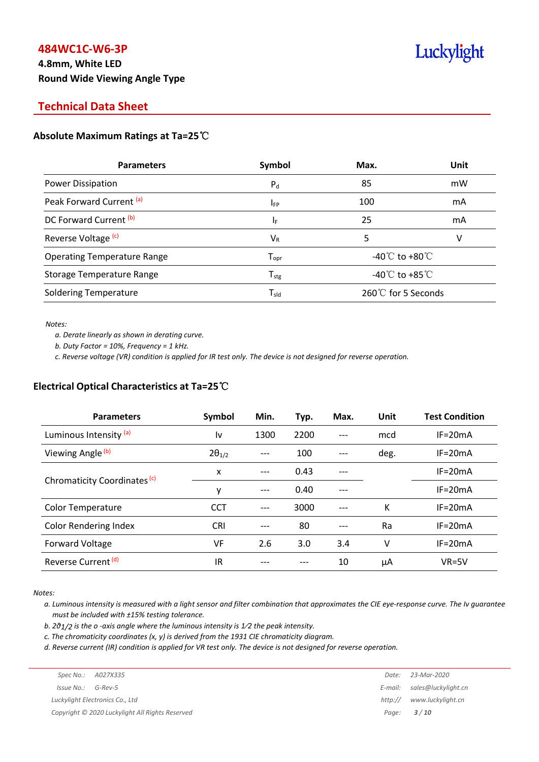## **4.8mm, White LED Round Wide Viewing Angle Type**

# Luckylight

## **Technical Data Sheet**

## **Absolute Maximum Ratings at Ta=25**℃

| <b>Parameters</b>                  | Symbol                       | Max.                                 | Unit |
|------------------------------------|------------------------------|--------------------------------------|------|
| Power Dissipation                  | $P_{d}$                      | 85                                   | mW   |
| Peak Forward Current (a)           | <b>IFP</b>                   | 100                                  | mA   |
| DC Forward Current (b)             | ΙF                           | 25                                   | mA   |
| Reverse Voltage <sup>(c)</sup>     | $V_{R}$                      | 5                                    | v    |
| <b>Operating Temperature Range</b> | ${\mathsf T}_{\textsf{opr}}$ | -40 $^{\circ}$ C to +80 $^{\circ}$ C |      |
| Storage Temperature Range          | ${\mathsf T}_{\text{stg}}$   | -40 $^{\circ}$ C to +85 $^{\circ}$ C |      |
| <b>Soldering Temperature</b>       | ${\mathsf T}_{\textsf{sld}}$ | 260℃ for 5 Seconds                   |      |

*Notes:*

*a. Derate linearly as shown in derating curve.*

*b. Duty Factor = 10%, Frequency = 1 kHz.*

c. Reverse voltage (VR) condition is applied for IR test only. The device is not designed for reverse operation.

## **Electrical Optical Characteristics at Ta=25**℃

| <b>Parameters</b>                       | Symbol          | Min.  | Typ. | Max. | Unit | <b>Test Condition</b> |
|-----------------------------------------|-----------------|-------|------|------|------|-----------------------|
| Luminous Intensity (a)                  | l٧              | 1300  | 2200 | ---  | mcd  | $IF = 20mA$           |
| Viewing Angle <sup>(b)</sup>            | $2\theta_{1/2}$ |       | 100  |      | deg. | $IF = 20mA$           |
|                                         | x               | $---$ | 0.43 |      |      | $IF = 20mA$           |
| Chromaticity Coordinates <sup>(c)</sup> | y               | ---   | 0.40 |      |      | $IF = 20mA$           |
| <b>Color Temperature</b>                | <b>CCT</b>      | ---   | 3000 |      | K    | $IF = 20mA$           |
| <b>Color Rendering Index</b>            | <b>CRI</b>      |       | 80   |      | Ra   | $IF = 20mA$           |
| Forward Voltage                         | VF              | 2.6   | 3.0  | 3.4  | v    | $IF = 20mA$           |
| Reverse Current <sup>(d)</sup>          | IR              |       |      | 10   | μA   | $VR=5V$               |

*Notes:*

a. Luminous intensity is measured with a light sensor and filter combination that approximates the CIE eye-response curve. The Iv guarantee *must be included with ±15% testing tolerance.*

*b. 2θ1/2 is the o -axis angle where the luminous intensity is 1⁄2 the peak intensity.*

*c. The chromaticity coordinates (x, y) is derived from the 1931 CIE chromaticity diagram.*

d. Reverse current (IR) condition is applied for VR test only. The device is not designed for reverse operation.

| Spec No.: A027X335                              | Date:        | 23-Mar-2020                 |
|-------------------------------------------------|--------------|-----------------------------|
| Issue No.:<br>G-Rev-5                           |              | E-mail: sales@luckylight.cn |
| Luckylight Electronics Co., Ltd                 | http://      | www.luckylight.cn           |
| Copyright © 2020 Luckylight All Rights Reserved | Page: $3/10$ |                             |
|                                                 |              |                             |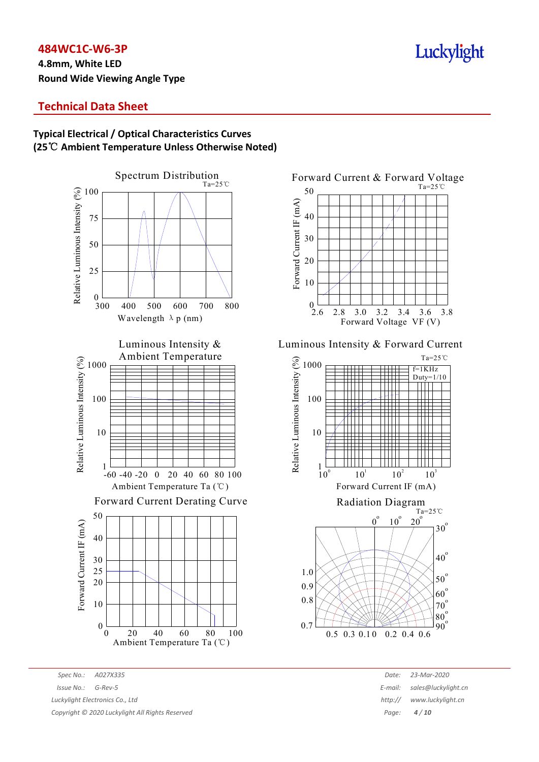**4.8mm, White LED Round Wide Viewing Angle Type**

## Luckylight

## **Technical Data Sheet**

## **Typical Electrical / Optical Characteristics Curves (25**℃ **Ambient Temperature Unless Otherwise Noted)**



*Spec No.: A027X335 Date: 23-Mar-2020 Issue No.: G-Rev-5 E-mail: sales@luckylight.cn Luckylight Electronics Co., Ltd http:// www.luckylight.cn Copyright © 2020 Luckylight All Rights Reserved Page: 4 / 10*



#### Luminous Intensity & Forward Current

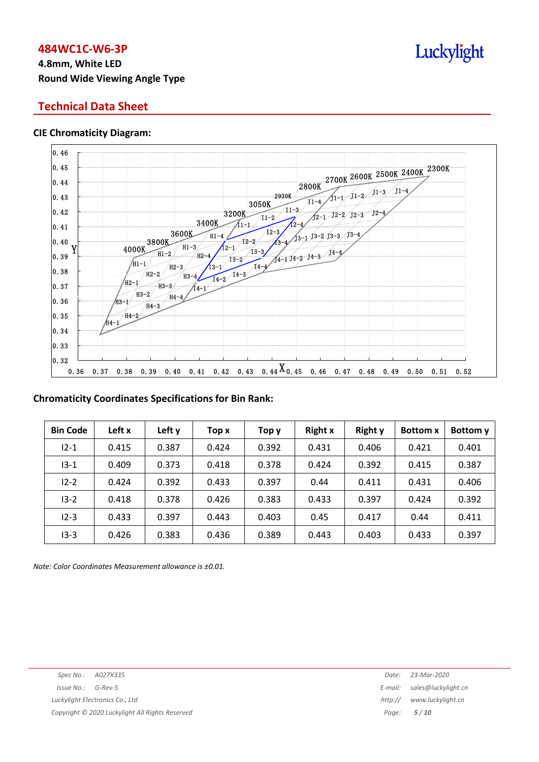## **4.8mm, White LED Round Wide Viewing Angle Type**

## **Technical Data Sheet**

#### **CIE Chromaticity Diagram:**



## **Chromaticity Coordinates Specifications for Bin Rank:**

| <b>Bin Code</b> | Left x | Left y | Top x | Тор у | <b>Right x</b> | <b>Right y</b> | <b>Bottom x</b> | Bottom y |
|-----------------|--------|--------|-------|-------|----------------|----------------|-----------------|----------|
| $12 - 1$        | 0.415  | 0.387  | 0.424 | 0.392 | 0.431          | 0.406          | 0.421           | 0.401    |
| $13 - 1$        | 0.409  | 0.373  | 0.418 | 0.378 | 0.424          | 0.392          | 0.415           | 0.387    |
| $12 - 2$        | 0.424  | 0.392  | 0.433 | 0.397 | 0.44           | 0.411          | 0.431           | 0.406    |
| $13 - 2$        | 0.418  | 0.378  | 0.426 | 0.383 | 0.433          | 0.397          | 0.424           | 0.392    |
| $12 - 3$        | 0.433  | 0.397  | 0.443 | 0.403 | 0.45           | 0.417          | 0.44            | 0.411    |
| $13 - 3$        | 0.426  | 0.383  | 0.436 | 0.389 | 0.443          | 0.403          | 0.433           | 0.397    |

*Note: Color Coordinates Measurement allowance is ±0.01.*

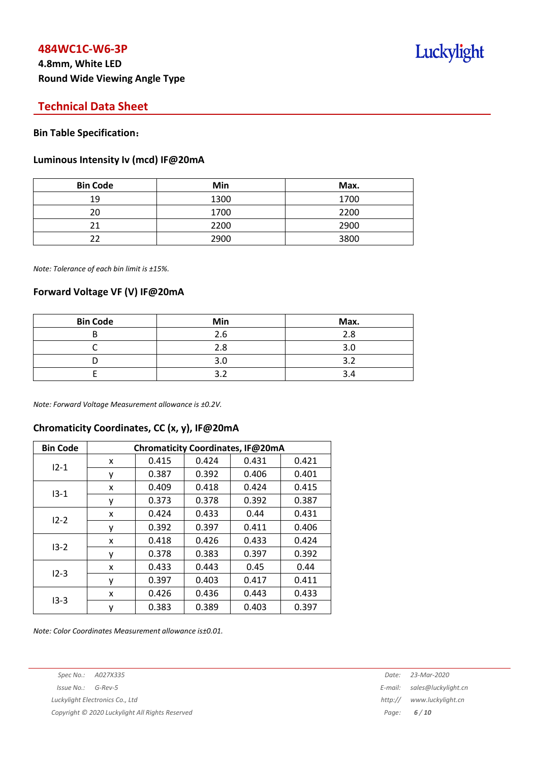## **4.8mm, White LED Round Wide Viewing Angle Type**

## Luckylight

## **Technical Data Sheet**

#### **Bin Table Specification**:

#### **Luminous Intensity Iv (mcd) IF@20mA**

| <b>Bin Code</b> | Min  | Max. |
|-----------------|------|------|
| 19              | 1300 | 1700 |
| 20              | 1700 | 2200 |
|                 | 2200 | 2900 |
|                 | 2900 | 3800 |

*Note: Tolerance of each bin limit is ±15%.*

#### **Forward Voltage VF (V) IF@20mA**

| <b>Bin Code</b> | Min | Max. |
|-----------------|-----|------|
|                 | 2.6 | 2.8  |
|                 | 2.8 | 3.0  |
|                 | 3.0 | ∍    |
|                 |     |      |

*Note: Forward Voltage Measurement allowance is ±0.2V.*

## **Chromaticity Coordinates, CC (x, y), IF@20mA**

| <b>Bin Code</b> | Chromaticity Coordinates, IF@20mA |       |       |       |       |  |
|-----------------|-----------------------------------|-------|-------|-------|-------|--|
| $12 - 1$        | x                                 | 0.415 | 0.424 | 0.431 | 0.421 |  |
|                 | ٧                                 | 0.387 | 0.392 | 0.406 | 0.401 |  |
|                 | x                                 | 0.409 | 0.418 | 0.424 | 0.415 |  |
| $13 - 1$        | у                                 | 0.373 | 0.378 | 0.392 | 0.387 |  |
| $12 - 2$        | x                                 | 0.424 | 0.433 | 0.44  | 0.431 |  |
|                 | У                                 | 0.392 | 0.397 | 0.411 | 0.406 |  |
| $13 - 2$        | x                                 | 0.418 | 0.426 | 0.433 | 0.424 |  |
|                 | ٧                                 | 0.378 | 0.383 | 0.397 | 0.392 |  |
| $12 - 3$        | x                                 | 0.433 | 0.443 | 0.45  | 0.44  |  |
|                 | ۷                                 | 0.397 | 0.403 | 0.417 | 0.411 |  |
| $13-3$          | x                                 | 0.426 | 0.436 | 0.443 | 0.433 |  |
|                 | ٧                                 | 0.383 | 0.389 | 0.403 | 0.397 |  |

*Note: Color Coordinates Measurement allowance is±0.01.*

*Spec No.: A027X335 Date: 23-Mar-2020 Issue No.: G-Rev-5 E-mail: sales@luckylight.cn Luckylight Electronics Co., Ltd http:// www.luckylight.cn*

*Copyright © 2020 Luckylight All Rights Reserved Page: 6 / 10*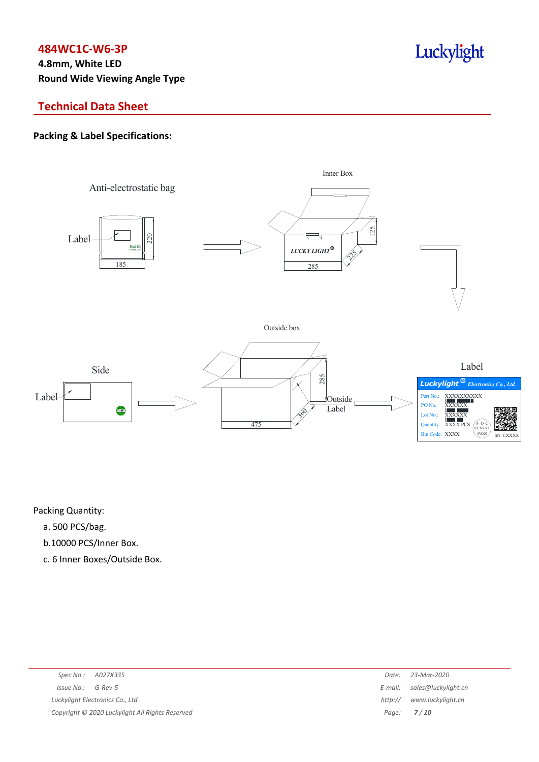## **4.8mm, White LED Round Wide Viewing Angle Type**

## **Technical Data Sheet**

## **Packing & Label Specifications:**



Packing Quantity:

- a. 500 PCS/bag.
- b.10000 PCS/Inner Box.
- c. 6 Inner Boxes/Outside Box.

| Spec No.: A027X335                              | Date:   | 23-Mar-2020                 |
|-------------------------------------------------|---------|-----------------------------|
| $Issue No.: G-Rev-5$                            |         | E-mail: sales@luckylight.cn |
| Luckylight Electronics Co., Ltd                 | http:// | www.luckylight.cn           |
| Copyright © 2020 Luckylight All Rights Reserved |         | Page: <b>7/10</b>           |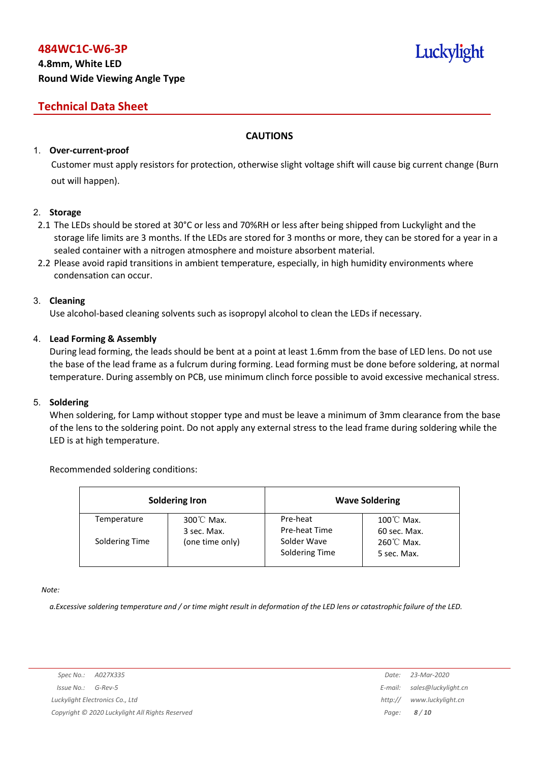## **4.8mm, White LED Round Wide Viewing Angle Type**

## **Technical Data Sheet**

## **CAUTIONS**

## 1. **Over-current-proof**

Customer must apply resistors for protection, otherwise slight voltage shift will cause big current change (Burn out will happen).

#### 2. **Storage**

- 2.1 The LEDs should be stored at 30°C or less and 70%RH or less after being shipped from Luckylight and the storage life limits are 3 months. If the LEDs are stored for 3 months or more, they can be stored for a year in a sealed container with a nitrogen atmosphere and moisture absorbent material.
- 2.2 Please avoid rapid transitions in ambient temperature, especially, in high humidity environments where condensation can occur.

#### 3. **Cleaning**

Use alcohol-based cleaning solvents such as isopropyl alcohol to clean the LEDs if necessary.

#### 4. **Lead Forming & Assembly**

During lead forming, the leads should be bent at a point at least 1.6mm from the base of LED lens. Do not use the base of the lead frame as a fulcrum during forming. Lead forming must be done before soldering, at normal temperature. During assembly on PCB, use minimum clinch force possible to avoid excessive mechanical stress.

#### 5. **Soldering**

When soldering, for Lamp without stopper type and must be leave a minimum of 3mm clearance from the base of the lens to the soldering point. Do not apply any external stress to the lead frame during soldering while the LED is at high temperature.

#### Recommended soldering conditions:

|                | <b>Soldering Iron</b>               |                               | <b>Wave Soldering</b>                |
|----------------|-------------------------------------|-------------------------------|--------------------------------------|
| Temperature    | $300^{\circ}$ C Max.<br>3 sec. Max. | Pre-heat<br>Pre-heat Time     | $100^{\circ}$ C Max.<br>60 sec. Max. |
| Soldering Time | (one time only)                     | Solder Wave<br>Soldering Time | $260^{\circ}$ C Max.<br>5 sec. Max.  |

*Note:*

a. Excessive soldering temperature and / or time might result in deformation of the LED lens or catastrophic failure of the LED.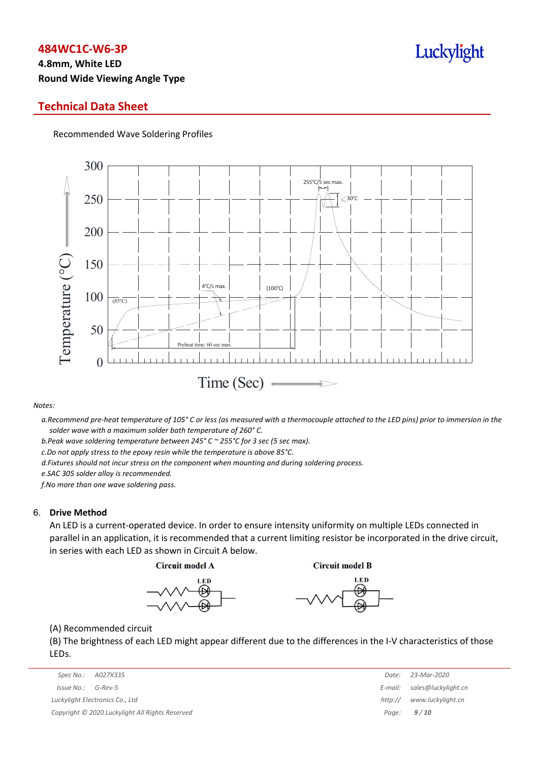## **4.8mm, White LED Round Wide Viewing Angle Type**

## **Technical Data Sheet**

Recommended Wave Soldering Profiles



#### *Notes:*

a. Recommend pre-heat temperature of 105° C or less (as measured with a thermocouple attached to the LED pins) prior to immersion in the *solder wave with a maximum solder bath temperature of 260° C.*

*b.Peak wave soldering temperature between 245° C ~ 255°C for 3 sec (5 sec max).*

*c.Do not apply stress to the epoxy resin while the temperature is above 85°C.*

*d.Fixtures should not incur stress on the component when mounting and during soldering process.*

*e.SAC 305 solder alloy is recommended.*

*f.No more than one wave soldering pass.*

#### 6. **Drive Method**

An LED is a current-operated device. In order to ensure intensity uniformity on multiple LEDs connected in parallel in an application, it is recommended that a current limiting resistor be incorporated in the drive circuit, in series with each LED as shown in Circuit A below.

**Circuit model A** 

**Circuit model B** 





(A) Recommended circuit

(B) The brightness of each LED might appear different due to the differences in the I-V characteristics of those LEDs.

| Spec No.: A027X335                              | Date:   | 23-Mar-2020                 |
|-------------------------------------------------|---------|-----------------------------|
| Issue No.:<br>G-Rev-5                           |         | E-mail: sales@luckylight.cn |
| Luckylight Electronics Co., Ltd                 | http:// | www.luckylight.cn           |
| Copyright © 2020 Luckylight All Rights Reserved |         | Page: $9/10$                |

|         | Date: 23-Mar-2020   |
|---------|---------------------|
| E-mail: | sales@luckylight.cn |
| http:// | www.luckylight.cn   |
| Page:   | 9/10                |